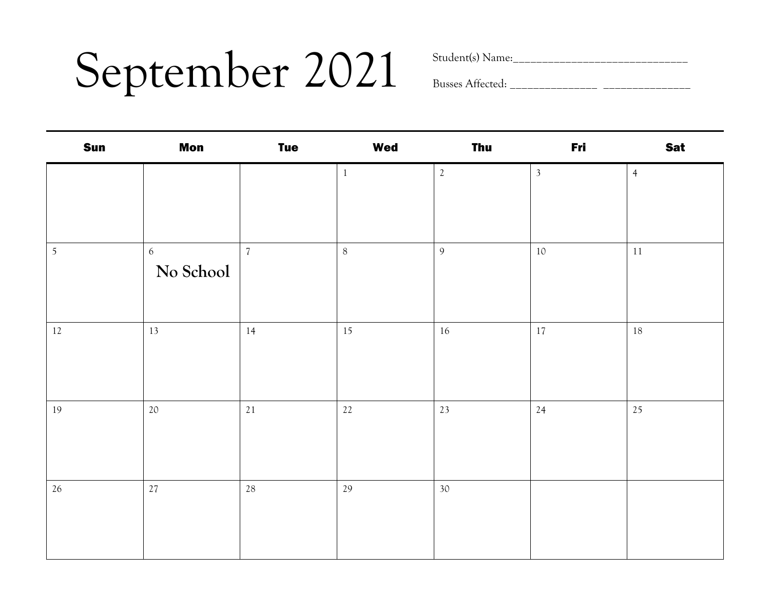### September 2021 Sudent(s) Name:

| <b>Sun</b> | <b>Mon</b>         | <b>Tue</b>               | <b>Wed</b>   | Thu        | Fri            | <b>Sat</b>     |
|------------|--------------------|--------------------------|--------------|------------|----------------|----------------|
|            |                    |                          | $\mathbf{1}$ | $\sqrt{2}$ | $\overline{3}$ | $\overline{4}$ |
| $\sqrt{5}$ | $6\,$<br>No School | $\overline{\mathcal{U}}$ | $8\,$        | 9          | 10             | $11\,$         |
| $12\,$     | 13                 | 14                       | 15           | 16         | 17             | 18             |
| 19         | 20                 | 21                       | 22           | 23         | 24             | 25             |
| 26         | 27                 | 28                       | 29           | 30         |                |                |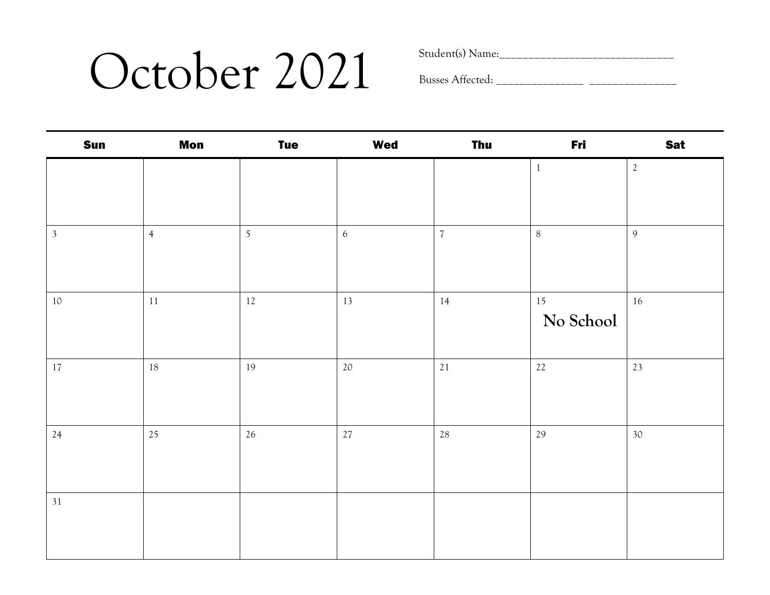### October 2021 Student(s) Name:

| Sun            | <b>Mon</b>     | <b>Tue</b>     | <b>Wed</b> | <b>Thu</b>     | Fri          | <b>Sat</b>     |
|----------------|----------------|----------------|------------|----------------|--------------|----------------|
|                |                |                |            |                | $\mathbf{1}$ | $\sqrt{2}$     |
|                |                |                |            |                |              |                |
|                |                |                |            |                |              |                |
| $\mathfrak{Z}$ | $\overline{4}$ | $\overline{5}$ | $6\,$      | $\overline{7}$ | $\, 8$       | $\overline{9}$ |
|                |                |                |            |                |              |                |
|                |                |                |            |                |              |                |
| $10\,$         | $11\,$         | $12\,$         | 13         | $14\,$         | 15           | $16\,$         |
|                |                |                |            |                | No School    |                |
|                |                |                |            |                |              |                |
| $17\,$         | 18             | 19             | $20\,$     | 21             | $22$         | 23             |
|                |                |                |            |                |              |                |
|                |                |                |            |                |              |                |
| 24             | 25             | $26\,$         | $27\,$     | $28\,$         | 29           | $30\,$         |
|                |                |                |            |                |              |                |
|                |                |                |            |                |              |                |
| 31             |                |                |            |                |              |                |
|                |                |                |            |                |              |                |
|                |                |                |            |                |              |                |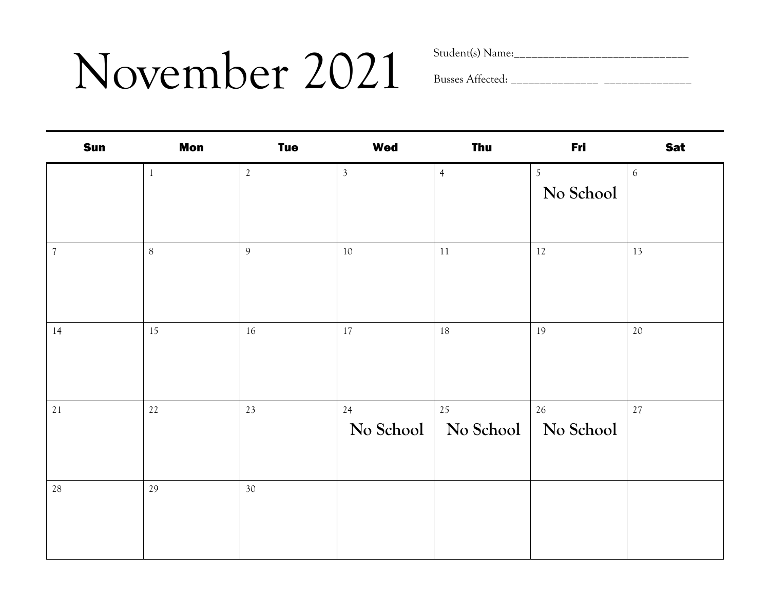### November 2021 Student(s) Name:

| <b>Sun</b>               | <b>Mon</b>   | <b>Tue</b>     | <b>Wed</b>     | <b>Thu</b>                    | Fri                         | <b>Sat</b>       |
|--------------------------|--------------|----------------|----------------|-------------------------------|-----------------------------|------------------|
|                          | $\mathbf{1}$ | $\mathfrak{2}$ | $\mathfrak{Z}$ | $\overline{4}$                | $\overline{5}$<br>No School | $\boldsymbol{6}$ |
| $\overline{\mathcal{U}}$ | $8\,$        | $\overline{9}$ | $10\,$         | $11\,$                        | $12\,$                      | 13               |
| 14                       | 15           | 16             | 17             | 18                            | 19                          | 20               |
| 21                       | 22           | 23             | 24             | $25\,$<br>No School No School | $26\,$<br>No School         | $27$             |
| 28                       | 29           | 30             |                |                               |                             |                  |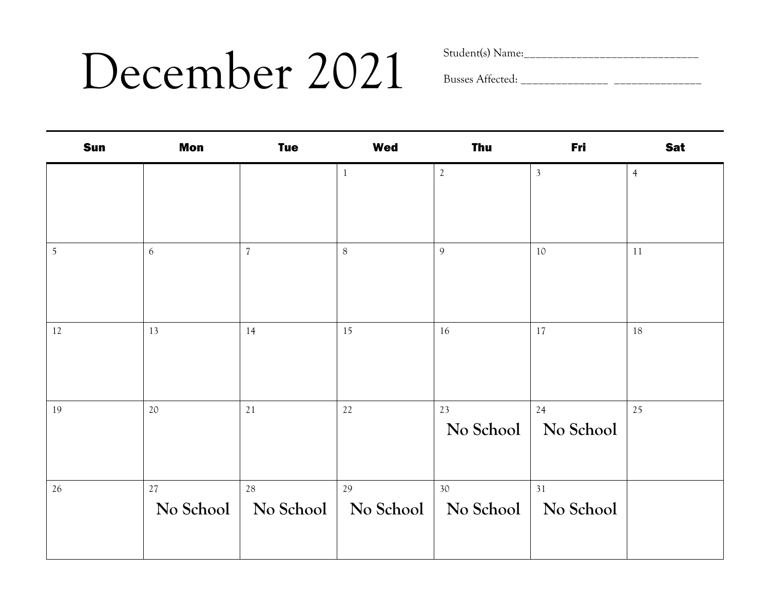## December 2021 Student(s) Name:

| <b>Sun</b>     | <b>Mon</b> | <b>Tue</b>     | <b>Wed</b> | <b>Thu</b>      | Fri             | <b>Sat</b>     |
|----------------|------------|----------------|------------|-----------------|-----------------|----------------|
|                |            |                |            | $\sqrt{2}$      | $\mathfrak{Z}$  | $\overline{4}$ |
|                |            |                |            |                 |                 |                |
|                |            |                |            |                 |                 |                |
| $\overline{5}$ | 6          | $\overline{7}$ | $8\,$      | $\mathfrak{g}$  | 10              | $11\,$         |
|                |            |                |            |                 |                 |                |
|                |            |                |            |                 |                 |                |
| 12             | 13         | 14             | 15         | 16              | 17              | 18             |
|                |            |                |            |                 |                 |                |
|                |            |                |            |                 |                 |                |
| 19             | 20         | 21             | 22         | 23<br>No School | 24<br>No School | 25             |
|                |            |                |            |                 |                 |                |
|                |            |                |            |                 |                 |                |
| 26             | $27\,$     | 28             | 29         | 30              | 31              |                |
|                | No School  | No School      | No School  | No School       | No School       |                |
|                |            |                |            |                 |                 |                |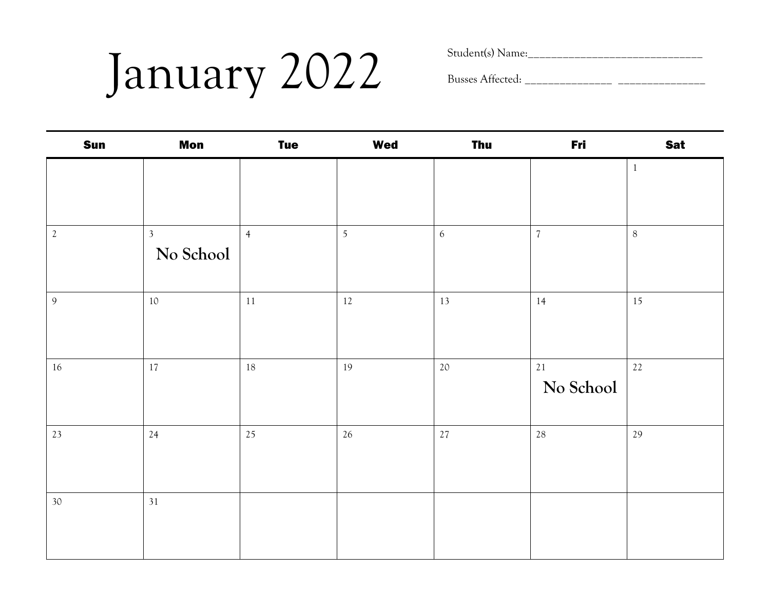# January 2022 Student(s) Name:\_\_\_\_\_\_\_\_\_\_\_\_\_\_\_\_\_\_\_\_\_\_\_\_\_\_\_\_\_\_

| Sun             | <b>Mon</b>     | <b>Tue</b>     | <b>Wed</b>     | <b>Thu</b>       | Fri        | <b>Sat</b>   |
|-----------------|----------------|----------------|----------------|------------------|------------|--------------|
|                 |                |                |                |                  |            | $\mathbf{1}$ |
|                 |                |                |                |                  |            |              |
|                 |                |                |                |                  |            |              |
| $\sqrt{2}$      | 3 <sup>1</sup> | $\overline{4}$ | $\overline{5}$ | $\boldsymbol{6}$ | $\sqrt{7}$ | $8\,$        |
|                 | No School      |                |                |                  |            |              |
|                 |                |                |                |                  |            |              |
| 9               | $10\,$         | $11\,$         | 12             | 13               | 14         | 15           |
|                 |                |                |                |                  |            |              |
|                 |                |                |                |                  |            |              |
| $16\,$          | $17\,$         | $18\,$         | 19             | $20\,$           | 21         | 22           |
|                 |                |                |                |                  | No School  |              |
|                 |                |                |                |                  |            |              |
| 23              | 24             | 25             | 26             | $27\,$           | 28         | 29           |
|                 |                |                |                |                  |            |              |
|                 |                |                |                |                  |            |              |
| 30 <sup>°</sup> | 31             |                |                |                  |            |              |
|                 |                |                |                |                  |            |              |
|                 |                |                |                |                  |            |              |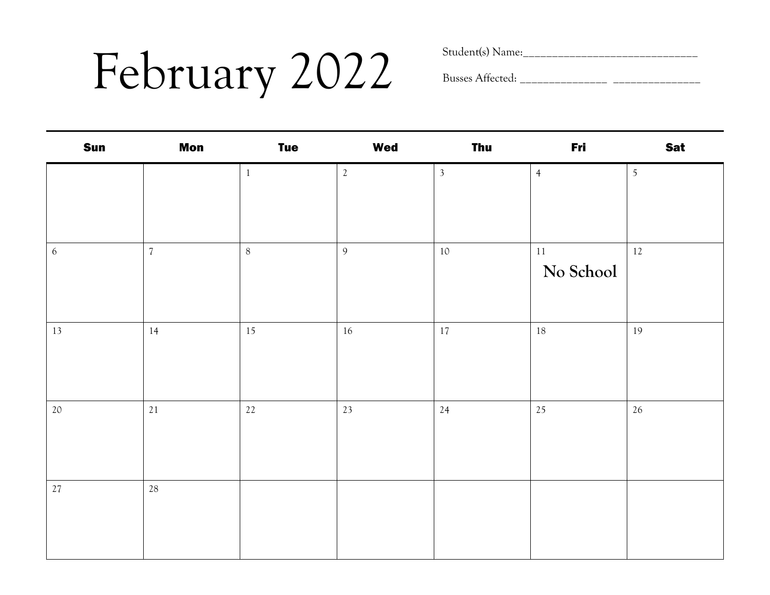## February 2022 Student(s) Name:

| <b>Sun</b> | <b>Mon</b> | <b>Tue</b> | <b>Wed</b>     | <b>Thu</b>     | Fri            | <b>Sat</b>     |
|------------|------------|------------|----------------|----------------|----------------|----------------|
|            |            | $\,1\,$    | $\mathbf{2}$   | $\overline{3}$ | $\overline{4}$ | $\overline{5}$ |
|            |            |            |                |                |                |                |
|            |            |            |                |                |                |                |
| $\sqrt{6}$ | $\sqrt{7}$ | $\,8\,$    | $\overline{9}$ | $10\,$         | $11\,$         | $12\,$         |
|            |            |            |                |                | No School      |                |
|            |            |            |                |                |                |                |
| 13         | 14         | 15         | $16\,$         | $17\,$         | 18             | 19             |
|            |            |            |                |                |                |                |
|            |            |            |                |                |                |                |
| $20\,$     | 21         | 22         | 23             | 24             | 25             | 26             |
|            |            |            |                |                |                |                |
|            |            |            |                |                |                |                |
| $27\,$     | $28\,$     |            |                |                |                |                |
|            |            |            |                |                |                |                |
|            |            |            |                |                |                |                |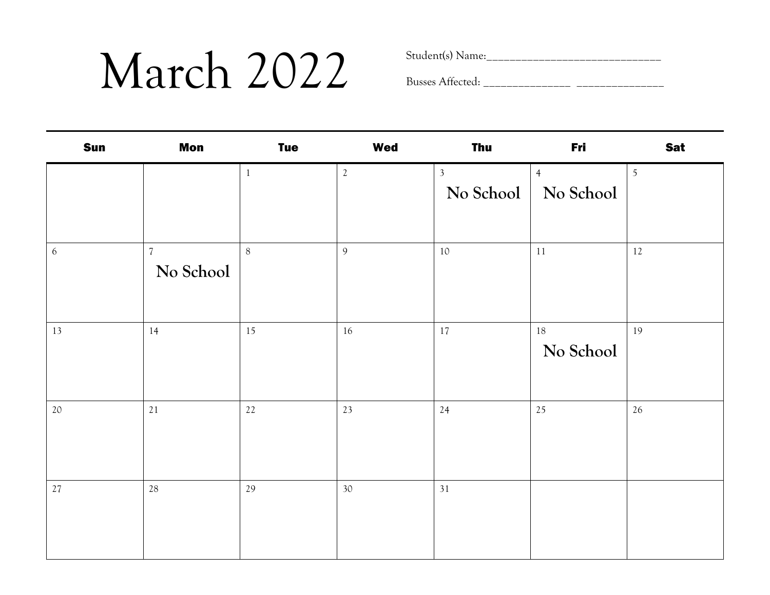### $\text{March } 2022$  Student(s) Name:

| <b>Sun</b>       | <b>Mon</b>                  | <b>Tue</b> | <b>Wed</b>     | <b>Thu</b>                  | Fri                         | <b>Sat</b> |
|------------------|-----------------------------|------------|----------------|-----------------------------|-----------------------------|------------|
|                  |                             | $1\,$      | $\overline{2}$ | $\mathfrak{Z}$<br>No School | $\overline{4}$<br>No School | 5          |
| $\boldsymbol{6}$ | $\overline{7}$<br>No School | $\, 8$     | $\overline{9}$ | $10\,$                      | 11                          | 12         |
| 13               | 14                          | 15         | 16             | 17                          | $18\,$<br>No School         | 19         |
| 20               | 21                          | $22\,$     | 23             | 24                          | 25                          | 26         |
| $27\,$           | $28\,$                      | 29         | 30             | 31                          |                             |            |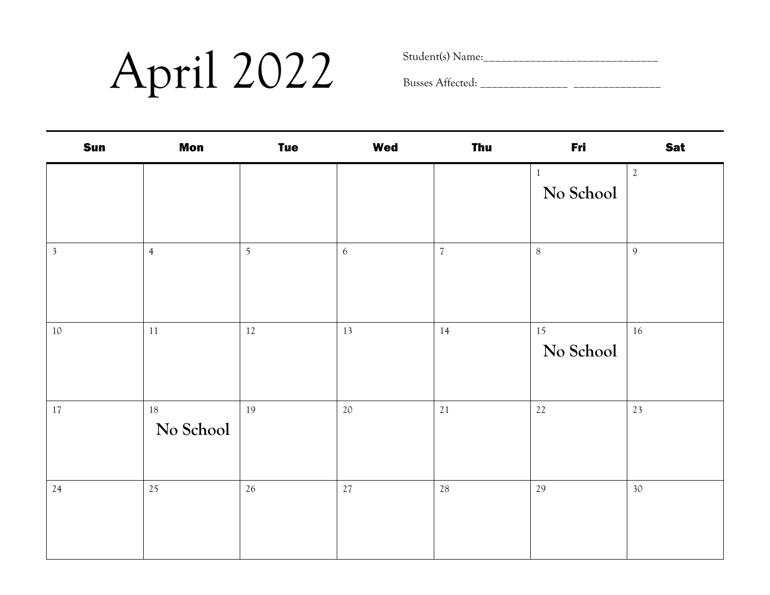## $\mathbf{April}$   $2022$  Student(s) Name:

| <b>Sun</b>     | <b>Mon</b>          | <b>Tue</b>     | <b>Wed</b> | <b>Thu</b>     | Fri                | <b>Sat</b> |
|----------------|---------------------|----------------|------------|----------------|--------------------|------------|
|                |                     |                |            |                | $\,1$<br>No School | $\sqrt{2}$ |
| $\mathfrak{Z}$ | $\overline{4}$      | $\overline{5}$ | $\sqrt{6}$ | $\overline{7}$ | $\, 8$             | 9          |
| $10\,$         | $11\,$              | $12\,$         | 13         | 14             | 15<br>No School    | 16         |
| 17             | $18\,$<br>No School | 19             | 20         | 21             | $22$               | 23         |
| 24             | 25                  | 26             | 27         | 28             | 29                 | 30         |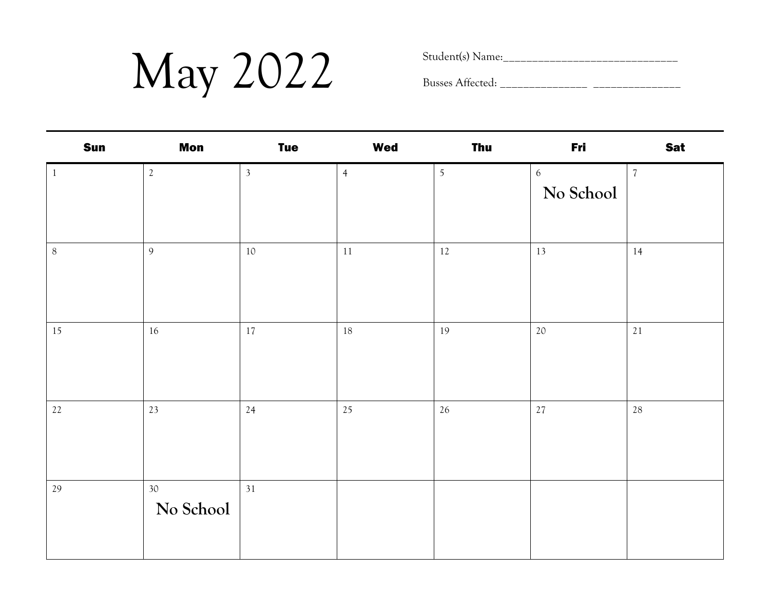$\text{May } 2022$  Student(s) Name:

| <b>Sun</b>   | <b>Mon</b>                   | <b>Tue</b>     | <b>Wed</b>     | <b>Thu</b>     | Fri                           | <b>Sat</b> |
|--------------|------------------------------|----------------|----------------|----------------|-------------------------------|------------|
| $\mathbf{1}$ | $2\,$                        | $\overline{3}$ | $\overline{4}$ | $\mathfrak{S}$ | $\boldsymbol{6}$<br>No School | $\sqrt{7}$ |
| $8\,$        | 9                            | 10             | $11\,$         | $12\,$         | 13                            | 14         |
| 15           | $16\,$                       | 17             | 18             | 19             | 20                            | $21\,$     |
| $22\,$       | 23                           | 24             | 25             | $26\,$         | 27                            | $28\,$     |
| 29           | 30 <sup>°</sup><br>No School | 31             |                |                |                               |            |